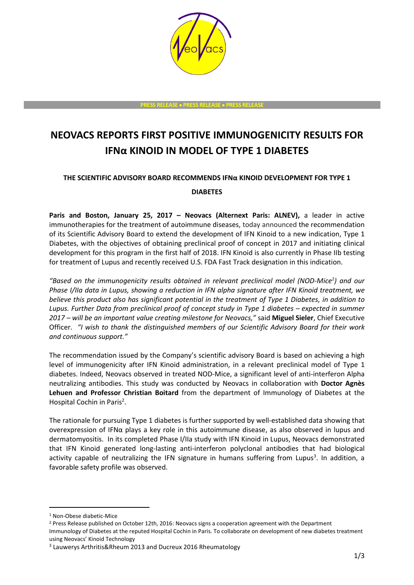

**PRESS RELEASE PRESS RELEASE PRESS RELEASE**

# **NEOVACS REPORTS FIRST POSITIVE IMMUNOGENICITY RESULTS FOR IFNα KINOID IN MODEL OF TYPE 1 DIABETES**

# **THE SCIENTIFIC ADVISORY BOARD RECOMMENDS IFNα KINOID DEVELOPMENT FOR TYPE 1**

### **DIABETES**

**Paris and Boston, January 25, 2017 – Neovacs (Alternext Paris: ALNEV),** a leader in active immunotherapies for the treatment of autoimmune diseases, today announced the recommendation of its Scientific Advisory Board to extend the development of IFN Kinoid to a new indication, Type 1 Diabetes, with the objectives of obtaining preclinical proof of concept in 2017 and initiating clinical development for this program in the first half of 2018. IFN Kinoid is also currently in Phase IIb testing for treatment of Lupus and recently received U.S. FDA Fast Track designation in this indication.

*"Based on the immunogenicity results obtained in relevant preclinical model (NOD-Mice<sup>1</sup> ) and our Phase I/IIa data in Lupus, showing a reduction in IFN alpha signature after IFN Kinoid treatment, we believe this product also has significant potential in the treatment of Type 1 Diabetes, in addition to Lupus. Further Data from preclinical proof of concept study in Type 1 diabetes – expected in summer 2017 – will be an important value creating milestone for Neovacs,"* said **Miguel Sieler**, Chief Executive Officer. *"I wish to thank the distinguished members of our Scientific Advisory Board for their work and continuous support."*

The recommendation issued by the Company's scientific advisory Board is based on achieving a high level of immunogenicity after IFN Kinoid administration, in a relevant preclinical model of Type 1 diabetes. Indeed, Neovacs observed in treated NOD-Mice, a significant level of anti-interferon Alpha neutralizing antibodies. This study was conducted by Neovacs in collaboration with **Doctor Agnès Lehuen and Professor Christian Boitard** from the department of Immunology of Diabetes at the Hospital Cochin in Paris<sup>2</sup>.

The rationale for pursuing Type 1 diabetes is further supported by well-established data showing that overexpression of IFNα plays a key role in this autoimmune disease, as also observed in lupus and dermatomyositis. In its completed Phase I/IIa study with IFN Kinoid in Lupus, Neovacs demonstrated that IFN Kinoid generated long-lasting anti-interferon polyclonal antibodies that had biological activity capable of neutralizing the IFN signature in humans suffering from Lupus<sup>3</sup>. In addition, a favorable safety profile was observed.

-

<sup>1</sup> Non-Obese diabetic-Mice

<sup>2</sup> Press Release published on October 12th, 2016: Neovacs signs a cooperation agreement with the Department

Immunology of Diabetes at the reputed Hospital Cochin in Paris. To collaborate on development of new diabetes treatment using Neovacs' Kinoid Technology

<sup>&</sup>lt;sup>3</sup> Lauwerys Arthritis&Rheum 2013 and Ducreux 2016 Rheumatology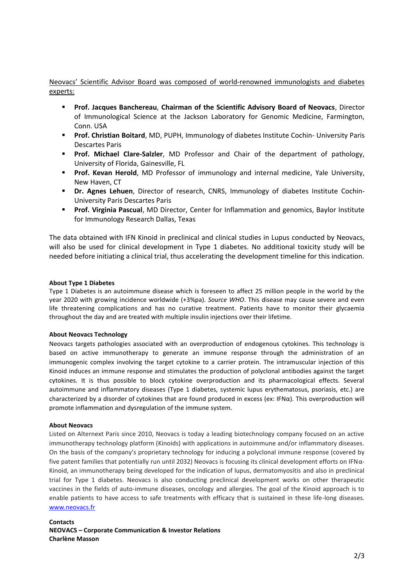## Neovacs' Scientific Advisor Board was composed of world-renowned immunologists and diabetes experts:

- **Prof. Jacques Banchereau**, **Chairman of the Scientific Advisory Board of Neovacs**, Director of Immunological Science at the Jackson Laboratory for Genomic Medicine, Farmington, Conn. USA
- **Prof. Christian Boitard**, MD, PUPH, Immunology of diabetes Institute Cochin- University Paris Descartes Paris
- **Prof. Michael Clare-Salzler**, MD Professor and Chair of the department of pathology, University of Florida, Gainesville, FL
- **Prof. Kevan Herold**, MD Professor of immunology and internal medicine, Yale University, New Haven, CT
- **Dr. Agnes Lehuen**, Director of research, CNRS, Immunology of diabetes Institute Cochin-University Paris Descartes Paris
- **Prof. Virginia Pascual**, MD Director, Center for Inflammation and genomics, Baylor Institute for Immunology Research Dallas, Texas

The data obtained with IFN Kinoid in preclinical and clinical studies in Lupus conducted by Neovacs, will also be used for clinical development in Type 1 diabetes. No additional toxicity study will be needed before initiating a clinical trial, thus accelerating the development timeline for this indication.

#### **About Type 1 Diabetes**

Type 1 Diabetes is an autoimmune disease which is foreseen to affect 25 million people in the world by the year 2020 with growing incidence worldwide (+3%pa). *Source WHO*. This disease may cause severe and even life threatening complications and has no curative treatment. Patients have to monitor their glycaemia throughout the day and are treated with multiple insulin injections over their lifetime.

#### **About Neovacs Technology**

Neovacs targets pathologies associated with an overproduction of endogenous cytokines. This technology is based on active immunotherapy to generate an immune response through the administration of an immunogenic complex involving the target cytokine to a carrier protein. The intramuscular injection of this Kinoid induces an immune response and stimulates the production of polyclonal antibodies against the target cytokines. It is thus possible to block cytokine overproduction and its pharmacological effects. Several autoimmune and inflammatory diseases (Type 1 diabetes, systemic lupus erythematosus, psoriasis, etc.) are characterized by a disorder of cytokines that are found produced in excess (ex: IFNα). This overproduction will promote inflammation and dysregulation of the immune system.

#### **About Neovacs**

Listed on Alternext Paris since 2010, Neovacs is today a leading biotechnology company focused on an active immunotherapy technology platform (Kinoids) with applications in autoimmune and/or inflammatory diseases. On the basis of the company's proprietary technology for inducing a polyclonal immune response (covered by five patent families that potentially run until 2032) Neovacs is focusing its clinical development efforts on IFNα-Kinoid, an immunotherapy being developed for the indication of lupus, dermatomyositis and also in preclinical trial for Type 1 diabetes. Neovacs is also conducting preclinical development works on other therapeutic vaccines in the fields of auto-immune diseases, oncology and allergies. The goal of the Kinoid approach is to enable patients to have access to safe treatments with efficacy that is sustained in these life-long diseases. [www.neovacs.fr](http://www.neovacs.fr/)

#### **Contacts NEOVACS – Corporate Communication & Investor Relations Charlène Masson**